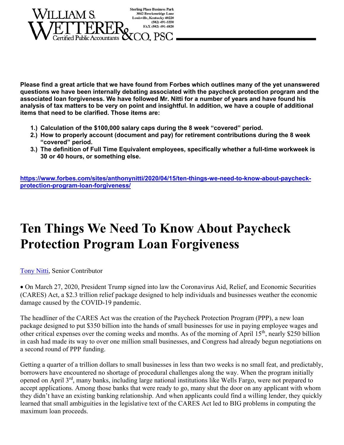

**Please find a great article that we have found from Forbes which outlines many of the yet unanswered questions we have been internally debating associated with the paycheck protection program and the associated loan forgiveness. We have followed Mr. Nitti for a number of years and have found his analysis of tax matters to be very on point and insightful. In addition, we have a couple of additional items that need to be clarified. Those items are:** 

- **1.) Calculation of the \$100,000 salary caps during the 8 week "covered" period.**
- **2.) How to properly account (document and pay) for retirement contributions during the 8 week "covered" period.**
- **3.) The definition of Full Time Equivalent employees, specifically whether a full-time workweek is 30 or 40 hours, or something else.**

**https://www.forbes.com/sites/anthonynitti/2020/04/15/ten-things-we-need-to-know-about-paycheckprotection-program-loan-forgiveness/**

# **Ten Things We Need To Know About Paycheck Protection Program Loan Forgiveness**

Tony Nitti, Senior Contributor

 On March 27, 2020, President Trump signed into law the Coronavirus Aid, Relief, and Economic Securities (CARES) Act, a \$2.3 trillion relief package designed to help individuals and businesses weather the economic damage caused by the COVID-19 pandemic.

The headliner of the CARES Act was the creation of the Paycheck Protection Program (PPP), a new loan package designed to put \$350 billion into the hands of small businesses for use in paying employee wages and other critical expenses over the coming weeks and months. As of the morning of April 15th, nearly \$250 billion in cash had made its way to over one million small businesses, and Congress had already begun negotiations on a second round of PPP funding.

Getting a quarter of a trillion dollars to small businesses in less than two weeks is no small feat, and predictably, borrowers have encountered no shortage of procedural challenges along the way. When the program initially opened on April 3rd, many banks, including large national institutions like Wells Fargo, were not prepared to accept applications. Among those banks that were ready to go, many shut the door on any applicant with whom they didn't have an existing banking relationship. And when applicants could find a willing lender, they quickly learned that small ambiguities in the legislative text of the CARES Act led to BIG problems in computing the maximum loan proceeds.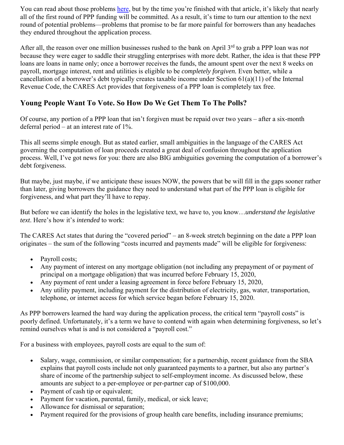You can read about those problems here, but by the time you're finished with that article, it's likely that nearly all of the first round of PPP funding will be committed. As a result, it's time to turn our attention to the next round of potential problems—problems that promise to be far more painful for borrowers than any headaches they endured throughout the application process.

After all, the reason over one million businesses rushed to the bank on April 3rd to grab a PPP loan was *not* because they were eager to saddle their struggling enterprises with more debt. Rather, the idea is that these PPP loans are loans in name only; once a borrower receives the funds, the amount spent over the next 8 weeks on payroll, mortgage interest, rent and utilities is eligible to be *completely forgiven.* Even better, while a cancellation of a borrower's debt typically creates taxable income under Section 61(a)(11) of the Internal Revenue Code, the CARES Act provides that forgiveness of a PPP loan is completely tax free.

# **Young People Want To Vote. So How Do We Get Them To The Polls?**

Of course, any portion of a PPP loan that isn't forgiven must be repaid over two years – after a six-month deferral period – at an interest rate of 1%.

This all seems simple enough. But as stated earlier, small ambiguities in the language of the CARES Act governing the computation of loan proceeds created a great deal of confusion throughout the application process. Well, I've got news for you: there are also BIG ambiguities governing the computation of a borrower's debt forgiveness.

But maybe, just maybe, if we anticipate these issues NOW, the powers that be will fill in the gaps sooner rather than later, giving borrowers the guidance they need to understand what part of the PPP loan is eligible for forgiveness, and what part they'll have to repay.

But before we can identify the holes in the legislative text, we have to, you know…*understand the legislative text*. Here's how it's *intended* to work:

The CARES Act states that during the "covered period" – an 8-week stretch beginning on the date a PPP loan originates – the sum of the following "costs incurred and payments made" will be eligible for forgiveness:

- Payroll costs;
- Any payment of interest on any mortgage obligation (not including any prepayment of or payment of principal on a mortgage obligation) that was incurred before February 15, 2020,
- Any payment of rent under a leasing agreement in force before February 15, 2020,
- Any utility payment, including payment for the distribution of electricity, gas, water, transportation, telephone, or internet access for which service began before February 15, 2020.

As PPP borrowers learned the hard way during the application process, the critical term "payroll costs" is poorly defined. Unfortunately, it's a term we have to contend with again when determining forgiveness, so let's remind ourselves what is and is not considered a "payroll cost."

For a business with employees, payroll costs are equal to the sum of:

- Salary, wage, commission, or similar compensation; for a partnership, recent guidance from the SBA explains that payroll costs include not only guaranteed payments to a partner, but also any partner's share of income of the partnership subject to self-employment income. As discussed below, these amounts are subject to a per-employee or per-partner cap of \$100,000.
- Payment of cash tip or equivalent;
- Payment for vacation, parental, family, medical, or sick leave;
- Allowance for dismissal or separation;
- Payment required for the provisions of group health care benefits, including insurance premiums;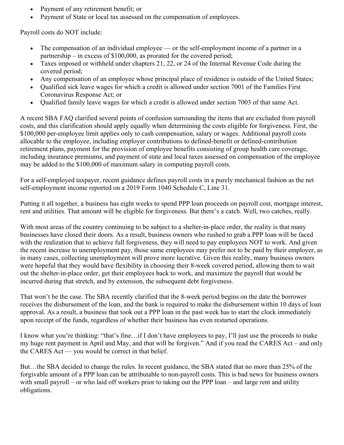- Payment of any retirement benefit; or
- Payment of State or local tax assessed on the compensation of employees.

Payroll costs do NOT include:

- The compensation of an individual employee or the self-employment income of a partner in a partnership – in excess of \$100,000, as prorated for the covered period;
- Taxes imposed or withheld under chapters 21, 22, or 24 of the Internal Revenue Code during the covered period;
- Any compensation of an employee whose principal place of residence is outside of the United States;
- Qualified sick leave wages for which a credit is allowed under section 7001 of the Families First Coronavirus Response Act; or
- Qualified family leave wages for which a credit is allowed under section 7003 of that same Act.

A recent SBA FAQ clarified several points of confusion surrounding the items that are excluded from payroll costs, and this clarification should apply equally when determining the costs eligible for forgiveness. First, the \$100,000 per-employee limit applies only to cash compensation, salary or wages. Additional payroll costs allocable to the employee, including employer contributions to defined-benefit or defined-contribution retirement plans, payment for the provision of employee benefits consisting of group health care coverage, including insurance premiums, and payment of state and local taxes assessed on compensation of the employee may be added to the \$100,000 of maximum salary in computing payroll costs.

For a self-employed taxpayer, recent guidance defines payroll costs in a purely mechanical fashion as the net self-employment income reported on a 2019 Form 1040 Schedule C, Line 31.

Putting it all together, a business has eight weeks to spend PPP loan proceeds on payroll cost, mortgage interest, rent and utilities. That amount will be eligible for forgiveness. But there's a catch. Well, two catches, really.

With most areas of the country continuing to be subject to a shelter-in-place order, the reality is that many businesses have closed their doors. As a result, business owners who rushed to grab a PPP loan will be faced with the realization that to achieve full forgiveness, they will need to pay employees NOT to work. And given the recent increase to unemployment pay, those same employees may prefer not to be paid by their employer, as in many cases, collecting unemployment will prove more lucrative. Given this reality, many business owners were hopeful that they would have flexibility in choosing their 8-week covered period, allowing them to wait out the shelter-in-place order, get their employees back to work, and maximize the payroll that would be incurred during that stretch, and by extension, the subsequent debt forgiveness.

That won't be the case. The SBA recently clarified that the 8-week period begins on the date the borrower receives the disbursement of the loan, and the bank is required to make the disbursement within 10 days of loan approval. As a result, a business that took out a PPP loan in the past week has to start the clock immediately upon receipt of the funds, regardless of whether their business has even restarted operations.

I know what you're thinking: "that's fine…if I don't have employees to pay, I'll just use the proceeds to make my huge rent payment in April and May, and *that* will be forgiven." And if you read the CARES Act – and only the CARES Act — you would be correct in that belief.

But…the SBA decided to change the rules. In recent guidance, the SBA stated that no more than 25% of the forgivable amount of a PPP loan can be attributable to non-payroll costs. This is bad news for business owners with small payroll – or who laid off workers prior to taking out the PPP loan – and large rent and utility obligations.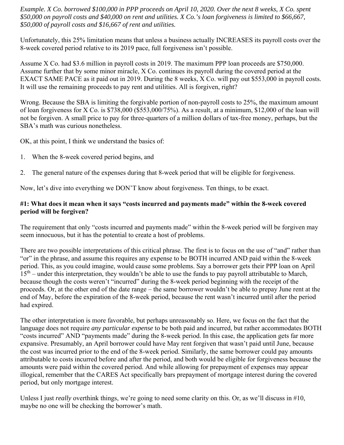*Example. X Co. borrowed \$100,000 in PPP proceeds on April 10, 2020. Over the next 8 weeks, X Co. spent \$50,000 on payroll costs and \$40,000 on rent and utilities. X Co.'s loan forgiveness is limited to \$66,667, \$50,000 of payroll costs and \$16,667 of rent and utilities.*

Unfortunately, this 25% limitation means that unless a business actually INCREASES its payroll costs over the 8-week covered period relative to its 2019 pace, full forgiveness isn't possible.

Assume X Co. had \$3.6 million in payroll costs in 2019. The maximum PPP loan proceeds are \$750,000. Assume further that by some minor miracle, X Co. continues its payroll during the covered period at the EXACT SAME PACE as it paid out in 2019. During the 8 weeks, X Co. will pay out \$553,000 in payroll costs. It will use the remaining proceeds to pay rent and utilities. All is forgiven, right?

Wrong. Because the SBA is limiting the forgivable portion of non-payroll costs to 25%, the maximum amount of loan forgiveness for X Co. is \$738,000 (\$553,000/75%). As a result, at a minimum, \$12,000 of the loan will not be forgiven. A small price to pay for three-quarters of a million dollars of tax-free money, perhaps, but the SBA's math was curious nonetheless.

OK, at this point, I think we understand the basics of:

- 1. When the 8-week covered period begins, and
- 2. The general nature of the expenses during that 8-week period that will be eligible for forgiveness.

Now, let's dive into everything we DON'T know about forgiveness. Ten things, to be exact.

## **#1: What does it mean when it says "costs incurred and payments made" within the 8-week covered period will be forgiven?**

The requirement that only "costs incurred and payments made" within the 8-week period will be forgiven may seem innocuous, but it has the potential to create a host of problems.

There are two possible interpretations of this critical phrase. The first is to focus on the use of "and" rather than "or" in the phrase, and assume this requires any expense to be BOTH incurred AND paid within the 8-week period. This, as you could imagine, would cause some problems. Say a borrower gets their PPP loan on April  $15<sup>th</sup>$  – under this interpretation, they wouldn't be able to use the funds to pay payroll attributable to March, because though the costs weren't "incurred" during the 8-week period beginning with the receipt of the proceeds. Or, at the other end of the date range – the same borrower wouldn't be able to prepay June rent at the end of May, before the expiration of the 8-week period, because the rent wasn't incurred until after the period had expired.

The other interpretation is more favorable, but perhaps unreasonably so. Here, we focus on the fact that the language does not require *any particular expense* to be both paid and incurred, but rather accommodates BOTH "costs incurred" AND "payments made" during the 8-week period. In this case, the application gets far more expansive. Presumably, an April borrower could have May rent forgiven that wasn't paid until June, because the cost was incurred prior to the end of the 8-week period. Similarly, the same borrower could pay amounts attributable to costs incurred before and after the period, and both would be eligible for forgiveness because the amounts were paid within the covered period. And while allowing for prepayment of expenses may appear illogical, remember that the CARES Act specifically bars prepayment of mortgage interest during the covered period, but only mortgage interest.

Unless I just *really* overthink things, we're going to need some clarity on this. Or, as we'll discuss in #10, maybe no one will be checking the borrower's math.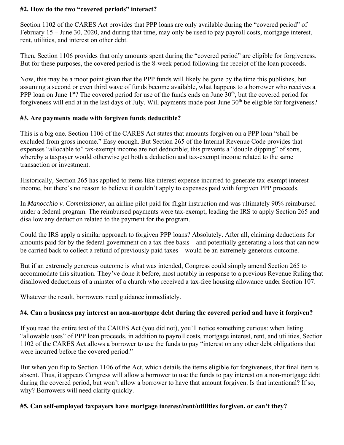### **#2. How do the two "covered periods" interact?**

Section 1102 of the CARES Act provides that PPP loans are only available during the "covered period" of February 15 – June 30, 2020, and during that time, may only be used to pay payroll costs, mortgage interest, rent, utilities, and interest on other debt.

Then, Section 1106 provides that only amounts spent during the "covered period" are eligible for forgiveness. But for these purposes, the covered period is the 8-week period following the receipt of the loan proceeds.

Now, this may be a moot point given that the PPP funds will likely be gone by the time this publishes, but assuming a second or even third wave of funds become available, what happens to a borrower who receives a PPP loan on June 1<sup>st</sup>? The covered period for use of the funds ends on June 30<sup>th</sup>, but the covered period for forgiveness will end at in the last days of July. Will payments made post-June 30<sup>th</sup> be eligible for forgiveness?

### **#3. Are payments made with forgiven funds deductible?**

This is a big one. Section 1106 of the CARES Act states that amounts forgiven on a PPP loan "shall be excluded from gross income." Easy enough. But Section 265 of the Internal Revenue Code provides that expenses "allocable to" tax-exempt income are not deductible; this prevents a "double dipping" of sorts, whereby a taxpayer would otherwise get both a deduction and tax-exempt income related to the same transaction or investment.

Historically, Section 265 has applied to items like interest expense incurred to generate tax-exempt interest income, but there's no reason to believe it couldn't apply to expenses paid with forgiven PPP proceeds.

In *Manocchio v. Commissioner*, an airline pilot paid for flight instruction and was ultimately 90% reimbursed under a federal program. The reimbursed payments were tax-exempt, leading the IRS to apply Section 265 and disallow any deduction related to the payment for the program.

Could the IRS apply a similar approach to forgiven PPP loans? Absolutely. After all, claiming deductions for amounts paid for by the federal government on a tax-free basis – and potentially generating a loss that can now be carried back to collect a refund of previously paid taxes – would be an extremely generous outcome.

But if an extremely generous outcome is what was intended, Congress could simply amend Section 265 to accommodate this situation. They've done it before, most notably in response to a previous Revenue Ruling that disallowed deductions of a minster of a church who received a tax-free housing allowance under Section 107.

Whatever the result, borrowers need guidance immediately.

## **#4. Can a business pay interest on non-mortgage debt during the covered period and have it forgiven?**

If you read the entire text of the CARES Act (you did not), you'll notice something curious: when listing "allowable uses" of PPP loan proceeds, in addition to payroll costs, mortgage interest, rent, and utilities, Section 1102 of the CARES Act allows a borrower to use the funds to pay "interest on any other debt obligations that were incurred before the covered period."

But when you flip to Section 1106 of the Act, which details the items eligible for forgiveness, that final item is absent. Thus, it appears Congress will allow a borrower to use the funds to pay interest on a non-mortgage debt during the covered period, but won't allow a borrower to have that amount forgiven. Is that intentional? If so, why? Borrowers will need clarity quickly.

## **#5. Can self-employed taxpayers have mortgage interest/rent/utilities forgiven, or can't they?**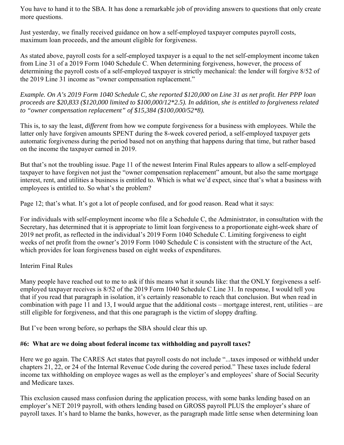You have to hand it to the SBA. It has done a remarkable job of providing answers to questions that only create more questions.

Just yesterday, we finally received guidance on how a self-employed taxpayer computes payroll costs, maximum loan proceeds, and the amount eligible for forgiveness.

As stated above, payroll costs for a self-employed taxpayer is a equal to the net self-employment income taken from Line 31 of a 2019 Form 1040 Schedule C. When determining forgiveness, however, the process of determining the payroll costs of a self-employed taxpayer is strictly mechanical: the lender will forgive 8/52 of the 2019 Line 31 income as "owner compensation replacement."

*Example. On A's 2019 Form 1040 Schedule C, she reported \$120,000 on Line 31 as net profit. Her PPP loan proceeds are \$20,833 (\$120,000 limited to \$100,000/12\*2.5). In addition, she is entitled to forgiveness related to "owner compensation replacement" of \$15,384 (\$100,000/52\*8).* 

This is, to say the least, *different* from how we compute forgiveness for a business with employees. While the latter only have forgiven amounts SPENT during the 8-week covered period, a self-employed taxpayer gets automatic forgiveness during the period based not on anything that happens during that time, but rather based on the income the taxpayer earned in 2019.

But that's not the troubling issue. Page 11 of the newest Interim Final Rules appears to allow a self-employed taxpayer to have forgiven not just the "owner compensation replacement" amount, but also the same mortgage interest, rent, and utilities a business is entitled to. Which is what we'd expect, since that's what a business with employees is entitled to. So what's the problem?

Page 12; that's what. It's got a lot of people confused, and for good reason. Read what it says:

For individuals with self-employment income who file a Schedule C, the Administrator, in consultation with the Secretary, has determined that it is appropriate to limit loan forgiveness to a proportionate eight-week share of 2019 net profit, as reflected in the individual's 2019 Form 1040 Schedule C. Limiting forgiveness to eight weeks of net profit from the owner's 2019 Form 1040 Schedule C is consistent with the structure of the Act, which provides for loan forgiveness based on eight weeks of expenditures.

## Interim Final Rules

Many people have reached out to me to ask if this means what it sounds like: that the ONLY forgiveness a selfemployed taxpayer receives is 8/52 of the 2019 Form 1040 Schedule C Line 31. In response, I would tell you that if you read that paragraph in isolation, it's certainly reasonable to reach that conclusion. But when read in combination with page 11 and 13, I would argue that the additional costs – mortgage interest, rent, utilities – are still eligible for forgiveness, and that this one paragraph is the victim of sloppy drafting.

But I've been wrong before, so perhaps the SBA should clear this up.

### **#6: What are we doing about federal income tax withholding and payroll taxes?**

Here we go again. The CARES Act states that payroll costs do not include "...taxes imposed or withheld under chapters 21, 22, or 24 of the Internal Revenue Code during the covered period." These taxes include federal income tax withholding on employee wages as well as the employer's and employees' share of Social Security and Medicare taxes.

This exclusion caused mass confusion during the application process, with some banks lending based on an employer's NET 2019 payroll, with others lending based on GROSS payroll PLUS the employer's share of payroll taxes. It's hard to blame the banks, however, as the paragraph made little sense when determining loan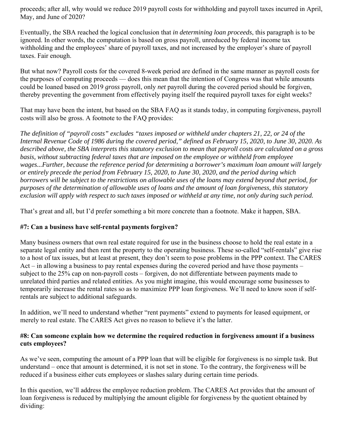proceeds; after all, why would we reduce 2019 payroll costs for withholding and payroll taxes incurred in April, May, and June of 2020?

Eventually, the SBA reached the logical conclusion that *in determining loan proceeds*, this paragraph is to be ignored. In other words, the computation is based on gross payroll, unreduced by federal income tax withholding and the employees' share of payroll taxes, and not increased by the employer's share of payroll taxes. Fair enough.

But what now? Payroll costs for the covered 8-week period are defined in the same manner as payroll costs for the purposes of computing proceeds — does this mean that the intention of Congress was that while amounts could be loaned based on 2019 *gross* payroll, only *net* payroll during the covered period should be forgiven, thereby preventing the government from effectively paying itself the required payroll taxes for eight weeks?

That may have been the intent, but based on the SBA FAQ as it stands today, in computing forgiveness, payroll costs will also be gross. A footnote to the FAQ provides:

*The definition of "payroll costs" excludes "taxes imposed or withheld under chapters 21, 22, or 24 of the Internal Revenue Code of 1986 during the covered period," defined as February 15, 2020, to June 30, 2020. As described above, the SBA interprets this statutory exclusion to mean that payroll costs are calculated on a gross basis, without subtracting federal taxes that are imposed on the employee or withheld from employee wages...Further, because the reference period for determining a borrower's maximum loan amount will largely or entirely precede the period from February 15, 2020, to June 30, 2020, and the period during which borrowers will be subject to the restrictions on allowable uses of the loans may extend beyond that period, for purposes of the determination of allowable uses of loans and the amount of loan forgiveness, this statutory exclusion will apply with respect to such taxes imposed or withheld at any time, not only during such period.* 

That's great and all, but I'd prefer something a bit more concrete than a footnote. Make it happen, SBA.

## **#7: Can a business have self-rental payments forgiven?**

Many business owners that own real estate required for use in the business choose to hold the real estate in a separate legal entity and then rent the property to the operating business. These so-called "self-rentals" give rise to a host of tax issues, but at least at present, they don't seem to pose problems in the PPP context. The CARES Act – in allowing a business to pay rental expenses during the covered period and have those payments – subject to the 25% cap on non-payroll costs – forgiven, do not differentiate between payments made to unrelated third parties and related entities. As you might imagine, this would encourage some businesses to temporarily increase the rental rates so as to maximize PPP loan forgiveness. We'll need to know soon if selfrentals are subject to additional safeguards.

In addition, we'll need to understand whether "rent payments" extend to payments for leased equipment, or merely to real estate. The CARES Act gives no reason to believe it's the latter.

### **#8: Can someone explain how we determine the required reduction in forgiveness amount if a business cuts employees?**

As we've seen, computing the amount of a PPP loan that will be eligible for forgiveness is no simple task. But understand – once that amount is determined, it is not set in stone. To the contrary, the forgiveness will be reduced if a business either cuts employees or slashes salary during certain time periods.

In this question, we'll address the employee reduction problem. The CARES Act provides that the amount of loan forgiveness is reduced by multiplying the amount eligible for forgiveness by the quotient obtained by dividing: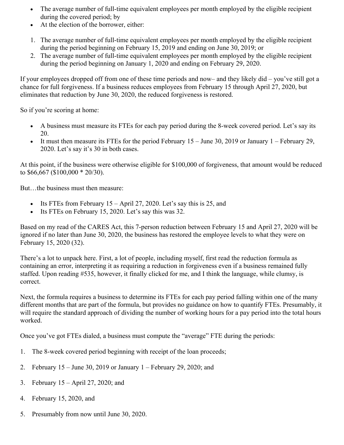- The average number of full-time equivalent employees per month employed by the eligible recipient during the covered period; by
- At the election of the borrower, either:
- 1. The average number of full-time equivalent employees per month employed by the eligible recipient during the period beginning on February 15, 2019 and ending on June 30, 2019; or
- 2. The average number of full-time equivalent employees per month employed by the eligible recipient during the period beginning on January 1, 2020 and ending on February 29, 2020.

If your employees dropped off from one of these time periods and now– and they likely did – you've still got a chance for full forgiveness. If a business reduces employees from February 15 through April 27, 2020, but eliminates that reduction by June 30, 2020, the reduced forgiveness is restored.

So if you're scoring at home:

- A business must measure its FTEs for each pay period during the 8-week covered period. Let's say its 20.
- It must then measure its FTEs for the period February  $15 -$  June 30, 2019 or January  $1 -$  February 29, 2020. Let's say it's 30 in both cases.

At this point, if the business were otherwise eligible for \$100,000 of forgiveness, that amount would be reduced to \$66,667 (\$100,000 \* 20/30).

But…the business must then measure:

- Its FTEs from February  $15 -$ April 27, 2020. Let's say this is 25, and
- Its FTEs on February 15, 2020. Let's say this was 32.

Based on my read of the CARES Act, this 7-person reduction between February 15 and April 27, 2020 will be ignored if no later than June 30, 2020, the business has restored the employee levels to what they were on February 15, 2020 (32).

There's a lot to unpack here. First, a lot of people, including myself, first read the reduction formula as containing an error, interpreting it as requiring a reduction in forgiveness even if a business remained fully staffed. Upon reading #535, however, it finally clicked for me, and I think the language, while clumsy, is correct.

Next, the formula requires a business to determine its FTEs for each pay period falling within one of the many different months that are part of the formula, but provides no guidance on how to quantify FTEs. Presumably, it will require the standard approach of dividing the number of working hours for a pay period into the total hours worked.

Once you've got FTEs dialed, a business must compute the "average" FTE during the periods:

- 1. The 8-week covered period beginning with receipt of the loan proceeds;
- 2. February 15 June 30, 2019 or January 1 February 29, 2020; and
- 3. February 15 April 27, 2020; and
- 4. February 15, 2020, and
- 5. Presumably from now until June 30, 2020.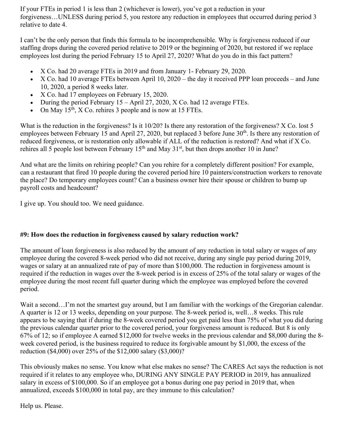If your FTEs in period 1 is less than 2 (whichever is lower), you've got a reduction in your forgiveness…UNLESS during period 5, you restore any reduction in employees that occurred during period 3 relative to date 4.

I can't be the only person that finds this formula to be incomprehensible. Why is forgiveness reduced if our staffing drops during the covered period relative to 2019 or the beginning of 2020, but restored if we replace employees lost during the period February 15 to April 27, 2020? What do you do in this fact pattern?

- X Co. had 20 average FTEs in 2019 and from January 1- February 29, 2020.
- $\bullet$  X Co. had 10 average FTEs between April 10, 2020 the day it received PPP loan proceeds and June 10, 2020, a period 8 weeks later.
- X Co. had 17 employees on February 15, 2020.
- During the period February 15 April 27, 2020, X Co. had 12 average FTEs.
- On May  $15<sup>th</sup>$ , X Co. rehires 3 people and is now at 15 FTEs.

What is the reduction in the forgiveness? Is it 10/20? Is there any restoration of the forgiveness? X Co. lost 5 employees between February 15 and April 27, 2020, but replaced 3 before June 30<sup>th</sup>. Is there any restoration of reduced forgiveness, or is restoration only allowable if ALL of the reduction is restored? And what if X Co. rehires all 5 people lost between February  $15<sup>th</sup>$  and May  $31<sup>st</sup>$ , but then drops another 10 in June?

And what are the limits on rehiring people? Can you rehire for a completely different position? For example, can a restaurant that fired 10 people during the covered period hire 10 painters/construction workers to renovate the place? Do temporary employees count? Can a business owner hire their spouse or children to bump up payroll costs and headcount?

I give up. You should too. We need guidance.

## **#9: How does the reduction in forgiveness caused by salary reduction work?**

The amount of loan forgiveness is also reduced by the amount of any reduction in total salary or wages of any employee during the covered 8-week period who did not receive, during any single pay period during 2019, wages or salary at an annualized rate of pay of more than \$100,000. The reduction in forgiveness amount is required if the reduction in wages over the 8-week period is in excess of 25% of the total salary or wages of the employee during the most recent full quarter during which the employee was employed before the covered period.

Wait a second...I'm not the smartest guy around, but I am familiar with the workings of the Gregorian calendar. A quarter is 12 or 13 weeks, depending on your purpose. The 8-week period is, well…8 weeks. This rule appears to be saying that if during the 8-week covered period you get paid less than 75% of what you did during the previous calendar quarter prior to the covered period, your forgiveness amount is reduced. But 8 is only 67% of 12; so if employee A earned \$12,000 for twelve weeks in the previous calendar and \$8,000 during the 8 week covered period, is the business required to reduce its forgivable amount by \$1,000, the excess of the reduction (\$4,000) over 25% of the \$12,000 salary (\$3,000)?

This obviously makes no sense. You know what else makes no sense? The CARES Act says the reduction is not required if it relates to any employee who, DURING ANY SINGLE PAY PERIOD in 2019, has annualized salary in excess of \$100,000. So if an employee got a bonus during one pay period in 2019 that, when annualized, exceeds \$100,000 in total pay, are they immune to this calculation?

Help us. Please.